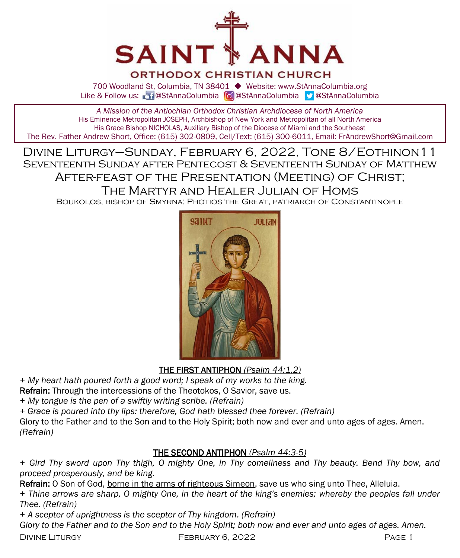

## **ORTHODOX CHRISTIAN CHURCH**

700 Woodland St, Columbia, TN 38401 ◆ Website: www.StAnnaColumbia.org Like & Follow us: 20 @StAnnaColumbia **@**StAnnaColumbia **@StAnnaColumbia** 

*A Mission of the Antiochian Orthodox Christian Archdiocese of North America* His Eminence Metropolitan JOSEPH, Archbishop of New York and Metropolitan of all North America His Grace Bishop NICHOLAS, Auxiliary Bishop of the Diocese of Miami and the Southeast The Rev. Father Andrew Short, Office: (615) 302-0809, Cell/Text: (615) 300-6011, Email: FrAndrewShort@Gmail.com

Divine Liturgy–Sunday, February 6, 2022, Tone 8/Eothinon11 Seventeenth Sunday after Pentecost & Seventeenth Sunday of Matthew After-feast of the Presentation (Meeting) of Christ;

The Martyr and Healer Julian of Homs

Boukolos, bishop of Smyrna; Photios the Great, patriarch of Constantinople



THE FIRST ANTIPHON *(Psalm 44:1,2)*

*+ My heart hath poured forth a good word; I speak of my works to the king.* 

Refrain: Through the intercessions of the Theotokos, O Savior, save us.

*+ My tongue is the pen of a swiftly writing scribe. (Refrain)*

*+ Grace is poured into thy lips: therefore, God hath blessed thee forever. (Refrain)*

Glory to the Father and to the Son and to the Holy Spirit; both now and ever and unto ages of ages. Amen. *(Refrain)*

## THE SECOND ANTIPHON *(Psalm 44:3-5)*

*+ Gird Thy sword upon Thy thigh, O mighty One, in Thy comeliness and Thy beauty. Bend Thy bow, and proceed prosperously, and be king.*

Refrain: O Son of God, borne in the arms of righteous Simeon, save us who sing unto Thee, Alleluia.

*+ Thine arrows are sharp, O mighty One, in the heart of the king's enemies; whereby the peoples fall under Thee. (Refrain)*

*+ A scepter of uprightness is the scepter of Thy kingdom. (Refrain)*

*Glory to the Father and to the Son and to the Holy Spirit; both now and ever and unto ages of ages. Amen.*

DIVINE LITURGY **FEBRUARY 6, 2022** PAGE 1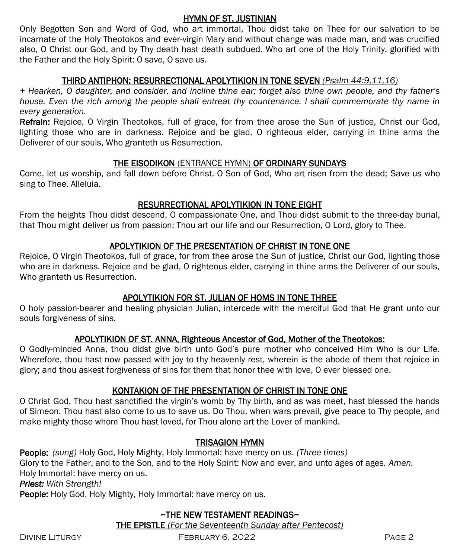## HYMN OF ST. JUSTINIAN

Only Begotten Son and Word of God, who art immortal, Thou didst take on Thee for our salvation to be incarnate of the Holy Theotokos and ever-virgin Mary and without change was made man, and was crucified also, O Christ our God, and by Thy death hast death subdued. Who art one of the Holy Trinity, glorified with the Father and the Holy Spirit: O save, O save us.

## THIRD ANTIPHON: RESURRECTIONAL APOLYTIKION IN TONE SEVEN *(Psalm 44:9,11,16)*

*+ Hearken, O daughter, and consider, and incline thine ear; forget also thine own people, and thy father's house. Even the rich among the people shall entreat thy countenance. I shall commemorate thy name in every generation.*

Refrain: Rejoice, O Virgin Theotokos, full of grace, for from thee arose the Sun of justice, Christ our God, lighting those who are in darkness. Rejoice and be glad, O righteous elder, carrying in thine arms the Deliverer of our souls, Who granteth us Resurrection.

## THE EISODIKON (ENTRANCE HYMN) OF ORDINARY SUNDAYS

Come, let us worship, and fall down before Christ. O Son of God, Who art risen from the dead; Save us who sing to Thee. Alleluia.

## RESURRECTIONAL APOLYTIKION IN TONE EIGHT

From the heights Thou didst descend, O compassionate One, and Thou didst submit to the three-day burial, that Thou might deliver us from passion; Thou art our life and our Resurrection, O Lord, glory to Thee.

## APOLYTIKION OF THE PRESENTATION OF CHRIST IN TONE ONE

Rejoice, O Virgin Theotokos, full of grace, for from thee arose the Sun of justice, Christ our God, lighting those who are in darkness. Rejoice and be glad, O righteous elder, carrying in thine arms the Deliverer of our souls, Who granteth us Resurrection.

## APOLYTIKION FOR ST. JULIAN OF HOMS IN TONE THREE

O holy passion-bearer and healing physician Julian, intercede with the merciful God that He grant unto our souls forgiveness of sins.

## APOLYTIKION OF ST. ANNA, Righteous Ancestor of God, Mother of the Theotokos:

O Godly-minded Anna, thou didst give birth unto God's pure mother who conceived Him Who is our Life. Wherefore, thou hast now passed with joy to thy heavenly rest, wherein is the abode of them that rejoice in glory; and thou askest forgiveness of sins for them that honor thee with love, O ever blessed one.

## KONTAKION OF THE PRESENTATION OF CHRIST IN TONE ONE

O Christ God, Thou hast sanctified the virgin's womb by Thy birth, and as was meet, hast blessed the hands of Simeon. Thou hast also come to us to save us. Do Thou, when wars prevail, give peace to Thy people, and make mighty those whom Thou hast loved, for Thou alone art the Lover of mankind.

## TRISAGION HYMN

People: *(sung)* Holy God, Holy Mighty, Holy Immortal: have mercy on us. *(Three times)*  Glory to the Father, and to the Son, and to the Holy Spirit: Now and ever, and unto ages of ages. *Amen.*  Holy Immortal: have mercy on us. *Priest: With Strength!* People: Holy God, Holy Mighty, Holy Immortal: have mercy on us.

## ~THE NEW TESTAMENT READINGS~ THE EPISTLE *(For the Seventeenth Sunday after Pentecost)*

Divine Liturgy February 6, 2022 Page 2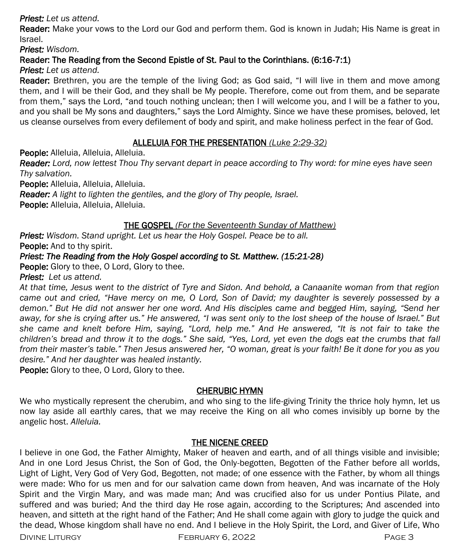### *Priest: Let us attend.*

Reader: Make your vows to the Lord our God and perform them. God is known in Judah; His Name is great in Israel.

*Priest: Wisdom.*

## Reader: The Reading from the Second Epistle of St. Paul to the Corinthians. (6:16-7:1)

*Priest: Let us attend.*

Reader: Brethren, you are the temple of the living God; as God said, "I will live in them and move among them, and I will be their God, and they shall be My people. Therefore, come out from them, and be separate from them," says the Lord, "and touch nothing unclean; then I will welcome you, and I will be a father to you, and you shall be My sons and daughters," says the Lord Almighty. Since we have these promises, beloved, let us cleanse ourselves from every defilement of body and spirit, and make holiness perfect in the fear of God.

## ALLELUIA FOR THE PRESENTATION *(Luke 2:29-32)*

People: Alleluia, Alleluia, Alleluia.

*Reader: Lord, now lettest Thou Thy servant depart in peace according to Thy word: for mine eyes have seen Thy salvation.*

People: Alleluia, Alleluia, Alleluia.

*Reader: A light to lighten the gentiles, and the glory of Thy people, Israel.*

People: Alleluia, Alleluia, Alleluia.

## THE GOSPEL *(For the Seventeenth Sunday of Matthew)*

*Priest: Wisdom. Stand upright. Let us hear the Holy Gospel. Peace be to all.* People: And to thy spirit.

## *Priest: The Reading from the Holy Gospel according to St. Matthew. (15:21-28)*

People: Glory to thee, O Lord, Glory to thee.

*Priest: Let us attend.* 

*At that time, Jesus went to the district of Tyre and Sidon. And behold, a Canaanite woman from that region came out and cried, "Have mercy on me, O Lord, Son of David; my daughter is severely possessed by a demon." But He did not answer her one word. And His disciples came and begged Him, saying, "Send her away, for she is crying after us." He answered, "I was sent only to the lost sheep of the house of Israel." But she came and knelt before Him, saying, "Lord, help me." And He answered, "It is not fair to take the children's bread and throw it to the dogs." She said, "Yes, Lord, yet even the dogs eat the crumbs that fall from their master's table." Then Jesus answered her, "O woman, great is your faith! Be it done for you as you desire." And her daughter was healed instantly.*

People: Glory to thee, O Lord, Glory to thee.

## CHERUBIC HYMN

We who mystically represent the cherubim, and who sing to the life-giving Trinity the thrice holy hymn, let us now lay aside all earthly cares, that we may receive the King on all who comes invisibly up borne by the angelic host. *Alleluia.*

## THE NICENE CREED

I believe in one God, the Father Almighty, Maker of heaven and earth, and of all things visible and invisible; And in one Lord Jesus Christ, the Son of God, the Only-begotten, Begotten of the Father before all worlds, Light of Light, Very God of Very God, Begotten, not made; of one essence with the Father, by whom all things were made: Who for us men and for our salvation came down from heaven, And was incarnate of the Holy Spirit and the Virgin Mary, and was made man; And was crucified also for us under Pontius Pilate, and suffered and was buried; And the third day He rose again, according to the Scriptures; And ascended into heaven, and sitteth at the right hand of the Father; And He shall come again with glory to judge the quick and the dead, Whose kingdom shall have no end. And I believe in the Holy Spirit, the Lord, and Giver of Life, Who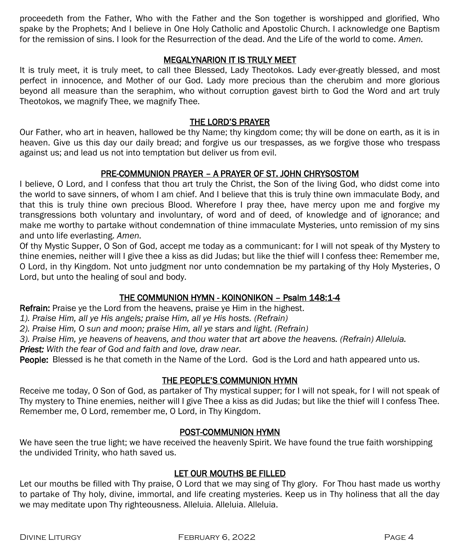proceedeth from the Father, Who with the Father and the Son together is worshipped and glorified, Who spake by the Prophets; And I believe in One Holy Catholic and Apostolic Church. I acknowledge one Baptism for the remission of sins. I look for the Resurrection of the dead. And the Life of the world to come. *Amen.*

### MEGALYNARION IT IS TRULY MEET

It is truly meet, it is truly meet, to call thee Blessed, Lady Theotokos. Lady ever-greatly blessed, and most perfect in innocence, and Mother of our God. Lady more precious than the cherubim and more glorious beyond all measure than the seraphim, who without corruption gavest birth to God the Word and art truly Theotokos, we magnify Thee, we magnify Thee.

#### THE LORD'S PRAYER

Our Father, who art in heaven, hallowed be thy Name; thy kingdom come; thy will be done on earth, as it is in heaven. Give us this day our daily bread; and forgive us our trespasses, as we forgive those who trespass against us; and lead us not into temptation but deliver us from evil.

## PRE-COMMUNION PRAYER – A PRAYER OF ST. JOHN CHRYSOSTOM

I believe, O Lord, and I confess that thou art truly the Christ, the Son of the living God, who didst come into the world to save sinners, of whom I am chief. And I believe that this is truly thine own immaculate Body, and that this is truly thine own precious Blood. Wherefore I pray thee, have mercy upon me and forgive my transgressions both voluntary and involuntary, of word and of deed, of knowledge and of ignorance; and make me worthy to partake without condemnation of thine immaculate Mysteries, unto remission of my sins and unto life everlasting. *Amen.*

Of thy Mystic Supper, O Son of God, accept me today as a communicant: for I will not speak of thy Mystery to thine enemies, neither will I give thee a kiss as did Judas; but like the thief will I confess thee: Remember me, O Lord, in thy Kingdom. Not unto judgment nor unto condemnation be my partaking of thy Holy Mysteries, O Lord, but unto the healing of soul and body.

## THE COMMUNION HYMN - KOINONIKON – Psalm 148:1-4

Refrain: Praise ye the Lord from the heavens, praise ye Him in the highest.

*1). Praise Him, all ye His angels; praise Him, all ye His hosts. (Refrain)*

*2). Praise Him, O sun and moon; praise Him, all ye stars and light. (Refrain)*

*3). Praise Him, ye heavens of heavens, and thou water that art above the heavens. (Refrain) Alleluia.* 

*Priest: With the fear of God and faith and love, draw near.*

People: Blessed is he that cometh in the Name of the Lord. God is the Lord and hath appeared unto us.

## THE PEOPLE'S COMMUNION HYMN

Receive me today, O Son of God, as partaker of Thy mystical supper; for I will not speak, for I will not speak of Thy mystery to Thine enemies, neither will I give Thee a kiss as did Judas; but like the thief will I confess Thee. Remember me, O Lord, remember me, O Lord, in Thy Kingdom.

#### POST-COMMUNION HYMN

We have seen the true light; we have received the heavenly Spirit. We have found the true faith worshipping the undivided Trinity, who hath saved us.

## LET OUR MOUTHS BE FILLED

Let our mouths be filled with Thy praise, O Lord that we may sing of Thy glory. For Thou hast made us worthy to partake of Thy holy, divine, immortal, and life creating mysteries. Keep us in Thy holiness that all the day we may meditate upon Thy righteousness. Alleluia. Alleluia. Alleluia.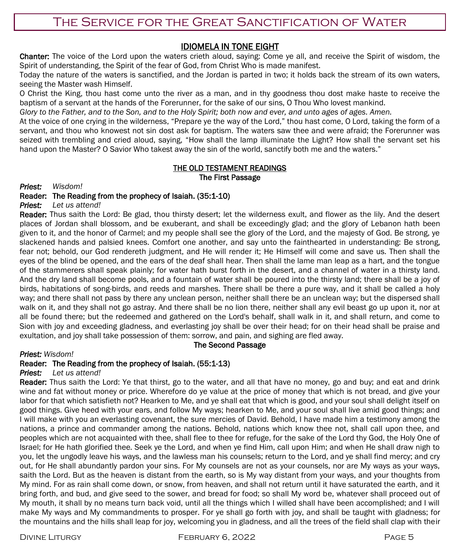## IDIOMELA IN TONE EIGHT

Chanter: The voice of the Lord upon the waters crieth aloud, saying: Come ye all, and receive the Spirit of wisdom, the Spirit of understanding, the Spirit of the fear of God, from Christ Who is made manifest.

Today the nature of the waters is sanctified, and the Jordan is parted in two; it holds back the stream of its own waters, seeing the Master wash Himself.

O Christ the King, thou hast come unto the river as a man, and in thy goodness thou dost make haste to receive the baptism of a servant at the hands of the Forerunner, for the sake of our sins, O Thou Who lovest mankind.

*Glory to the Father, and to the Son, and to the Holy Spirit; both now and ever, and unto ages of ages. Amen.*

At the voice of one crying in the wilderness, "Prepare ye the way of the Lord," thou hast come, O Lord, taking the form of a servant, and thou who knowest not sin dost ask for baptism. The waters saw thee and were afraid; the Forerunner was seized with trembling and cried aloud, saying, "How shall the lamp illuminate the Light? How shall the servant set his hand upon the Master? O Savior Who takest away the sin of the world, sanctify both me and the waters."

#### THE OLD TESTAMENT READINGS The First Passage

*Priest: Wisdom!*

#### Reader: The Reading from the prophecy of Isaiah. (35:1-10)

*Priest: Let us attend!*

Reader: Thus saith the Lord: Be glad, thou thirsty desert; let the wilderness exult, and flower as the lily. And the desert places of Jordan shall blossom, and be exuberant, and shall be exceedingly glad; and the glory of Lebanon hath been given to it, and the honor of Carmel; and my people shall see the glory of the Lord, and the majesty of God. Be strong, ye slackened hands and palsied knees. Comfort one another, and say unto the fainthearted in understanding: Be strong, fear not; behold, our God rendereth judgment, and He will render it; He Himself will come and save us. Then shall the eyes of the blind be opened, and the ears of the deaf shall hear. Then shall the lame man leap as a hart, and the tongue of the stammerers shall speak plainly; for water hath burst forth in the desert, and a channel of water in a thirsty land. And the dry land shall become pools, and a fountain of water shall be poured into the thirsty land; there shall be a joy of birds, habitations of song-birds, and reeds and marshes. There shall be there a pure way, and it shall be called a holy way; and there shall not pass by there any unclean person, neither shall there be an unclean way; but the dispersed shall walk on it, and they shall not go astray. And there shall be no lion there, neither shall any evil beast go up upon it, nor at all be found there; but the redeemed and gathered on the Lord's behalf, shall walk in it, and shall return, and come to Sion with joy and exceeding gladness, and everlasting joy shall be over their head; for on their head shall be praise and exultation, and joy shall take possession of them: sorrow, and pain, and sighing are fled away.

#### The Second Passage

#### *Priest: Wisdom!*

#### Reader: The Reading from the prophecy of Isaiah. (55:1-13)

*Priest: Let us attend!*

Reader: Thus saith the Lord: Ye that thirst, go to the water, and all that have no money, go and buy; and eat and drink wine and fat without money or price. Wherefore do ye value at the price of money that which is not bread, and give your labor for that which satisfieth not? Hearken to Me, and ye shall eat that which is good, and your soul shall delight itself on good things. Give heed with your ears, and follow My ways; hearken to Me, and your soul shall live amid good things; and I will make with you an everlasting covenant, the sure mercies of David. Behold, I have made him a testimony among the nations, a prince and commander among the nations. Behold, nations which know thee not, shall call upon thee, and peoples which are not acquainted with thee, shall flee to thee for refuge, for the sake of the Lord thy God, the Holy One of Israel; for He hath glorified thee. Seek ye the Lord, and when ye find Him, call upon Him; and when He shall draw nigh to you, let the ungodly leave his ways, and the lawless man his counsels; return to the Lord, and ye shall find mercy; and cry out, for He shall abundantly pardon your sins. For My counsels are not as your counsels, nor are My ways as your ways, saith the Lord. But as the heaven is distant from the earth, so is My way distant from your ways, and your thoughts from My mind. For as rain shall come down, or snow, from heaven, and shall not return until it have saturated the earth, and it bring forth, and bud, and give seed to the sower, and bread for food; so shall My word be, whatever shall proceed out of My mouth, it shall by no means turn back void, until all the things which I willed shall have been accomplished; and I will make My ways and My commandments to prosper. For ye shall go forth with joy, and shall be taught with gladness; for the mountains and the hills shall leap for joy, welcoming you in gladness, and all the trees of the field shall clap with their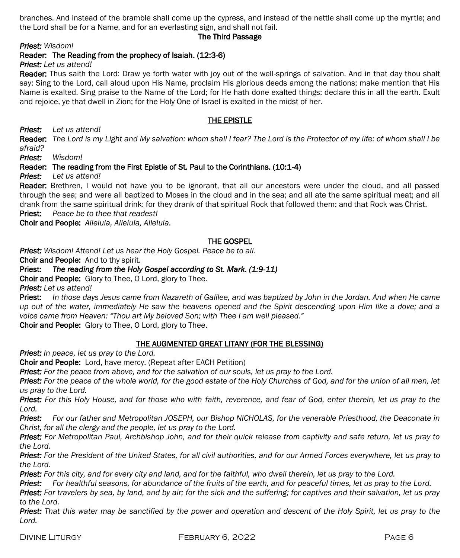branches. And instead of the bramble shall come up the cypress, and instead of the nettle shall come up the myrtle; and the Lord shall be for a Name, and for an everlasting sign, and shall not fail.

#### The Third Passage

*Priest: Wisdom!*

Reader: The Reading from the prophecy of Isaiah. (12:3-6)

*Priest: Let us attend!*

Reader: Thus saith the Lord: Draw ve forth water with joy out of the well-springs of salvation. And in that day thou shalt say: Sing to the Lord, call aloud upon His Name, proclaim His glorious deeds among the nations; make mention that His Name is exalted. Sing praise to the Name of the Lord; for He hath done exalted things; declare this in all the earth. Exult and rejoice, ye that dwell in Zion; for the Holy One of Israel is exalted in the midst of her.

#### THE EPISTLE

*Priest: Let us attend!*

Reader: *The Lord is my Light and My salvation: whom shall I fear? The Lord is the Protector of my life: of whom shall I be afraid?*

*Priest: Wisdom!*

#### Reader: The reading from the First Epistle of St. Paul to the Corinthians. (10:1-4)

*Priest: Let us attend!*

Reader: Brethren, I would not have you to be ignorant, that all our ancestors were under the cloud, and all passed through the sea; and were all baptized to Moses in the cloud and in the sea; and all ate the same spiritual meat; and all drank from the same spiritual drink: for they drank of that spiritual Rock that followed them: and that Rock was Christ.

Priest: *Peace be to thee that readest!*

Choir and People: *Alleluia, Alleluia, Alleluia.*

#### THE GOSPEL

*Priest: Wisdom! Attend! Let us hear the Holy Gospel. Peace be to all.*

Choir and People: And to thy spirit.

#### Priest: *The reading from the Holy Gospel according to St. Mark. (1:9-11)*

Choir and People: Glory to Thee, O Lord, glory to Thee.

*Priest: Let us attend!*

Priest: *In those days Jesus came from Nazareth of Galilee, and was baptized by John in the Jordan. And when He came up out of the water, immediately He saw the heavens opened and the Spirit descending upon Him like a dove; and a voice came from Heaven: "Thou art My beloved Son; with Thee I am well pleased."*

Choir and People: Glory to Thee, O Lord, glory to Thee.

#### THE AUGMENTED GREAT LITANY (FOR THE BLESSING)

*Priest: In peace, let us pray to the Lord.*

Choir and People: Lord, have mercy. (Repeat after EACH Petition)

*Priest: For the peace from above, and for the salvation of our souls, let us pray to the Lord.*

*Priest: For the peace of the whole world, for the good estate of the Holy Churches of God, and for the union of all men, let us pray to the Lord.*

*Priest: For this Holy House, and for those who with faith, reverence, and fear of God, enter therein, let us pray to the Lord.*

*Priest: For our father and Metropolitan JOSEPH, our Bishop NICHOLAS, for the venerable Priesthood, the Deaconate in Christ, for all the clergy and the people, let us pray to the Lord.*

*Priest: For Metropolitan Paul, Archbishop John, and for their quick release from captivity and safe return, let us pray to the Lord.*

*Priest: For the President of the United States, for all civil authorities, and for our Armed Forces everywhere, let us pray to the Lord.*

*Priest: For this city, and for every city and land, and for the faithful, who dwell therein, let us pray to the Lord.*

*Priest: For healthful seasons, for abundance of the fruits of the earth, and for peaceful times, let us pray to the Lord.*

*Priest: For travelers by sea, by land, and by air; for the sick and the suffering; for captives and their salvation, let us pray to the Lord.*

*Priest: That this water may be sanctified by the power and operation and descent of the Holy Spirit, let us pray to the Lord.*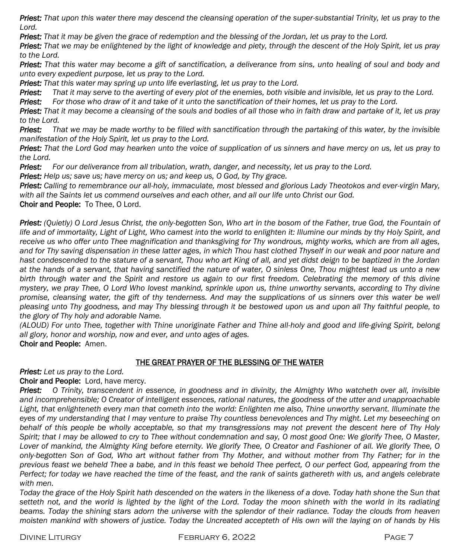*Priest: That upon this water there may descend the cleansing operation of the super-substantial Trinity, let us pray to the Lord.*

*Priest: That it may be given the grace of redemption and the blessing of the Jordan, let us pray to the Lord.*

*Priest: That we may be enlightened by the light of knowledge and piety, through the descent of the Holy Spirit, let us pray to the Lord.*

*Priest: That this water may become a gift of sanctification, a deliverance from sins, unto healing of soul and body and unto every expedient purpose, let us pray to the Lord.*

*Priest: That this water may spring up unto life everlasting, let us pray to the Lord.*

*Priest: That it may serve to the averting of every plot of the enemies, both visible and invisible, let us pray to the Lord.*

*Priest: For those who draw of it and take of it unto the sanctification of their homes, let us pray to the Lord.*

*Priest: That it may become a cleansing of the souls and bodies of all those who in faith draw and partake of it, let us pray to the Lord.*

*Priest: That we may be made worthy to be filled with sanctification through the partaking of this water, by the invisible manifestation of the Holy Spirit, let us pray to the Lord.*

*Priest: That the Lord God may hearken unto the voice of supplication of us sinners and have mercy on us, let us pray to the Lord.*

*Priest: For our deliverance from all tribulation, wrath, danger, and necessity, let us pray to the Lord.*

*Priest: Help us; save us; have mercy on us; and keep us, O God, by Thy grace.*

*Priest: Calling to remembrance our all-holy, immaculate, most blessed and glorious Lady Theotokos and ever-virgin Mary, with all the Saints let us commend ourselves and each other, and all our life unto Christ our God.*

Choir and People: To Thee, O Lord.

*Priest: (Quietly) O Lord Jesus Christ, the only-begotten Son, Who art in the bosom of the Father, true God, the Fountain of*  life and of immortality, Light of Light, Who camest into the world to enlighten it: Illumine our minds by thy Holy Spirit, and *receive us who offer unto Thee magnification and thanksgiving for Thy wondrous, mighty works, which are from all ages, and for Thy saving dispensation in these latter ages, in which Thou hast clothed Thyself in our weak and poor nature and hast condescended to the stature of a servant, Thou who art King of all, and yet didst deign to be baptized in the Jordan at the hands of a servant, that having sanctified the nature of water, O sinless One, Thou mightest lead us unto a new*  birth through water and the Spirit and restore us again to our first freedom. Celebrating the memory of this divine *mystery, we pray Thee, O Lord Who lovest mankind, sprinkle upon us, thine unworthy servants, according to Thy divine*  promise, cleansing water, the gift of thy tenderness. And may the supplications of us sinners over this water be well *pleasing unto Thy goodness, and may Thy blessing through it be bestowed upon us and upon all Thy faithful people, to the glory of Thy holy and adorable Name.*

*(ALOUD) For unto Thee, together with Thine unoriginate Father and Thine all-holy and good and life-giving Spirit, belong all glory, honor and worship, now and ever, and unto ages of ages.*

Choir and People: Amen.

#### THE GREAT PRAYER OF THE BLESSING OF THE WATER

*Priest: Let us pray to the Lord.*

Choir and People: Lord, have mercy.

*Priest: O Trinity, transcendent in essence, in goodness and in divinity, the Almighty Who watcheth over all, invisible and incomprehensible; O Creator of intelligent essences, rational natures, the goodness of the utter and unapproachable*  Light, that enlighteneth every man that cometh into the world: Enlighten me also, Thine unworthy servant. Illuminate the eyes of my understanding that I may venture to praise Thy countless benevolences and Thy might. Let my beseeching on behalf of this people be wholly acceptable, so that my transgressions may not prevent the descent here of Thy Holy *Spirit; that I may be allowed to cry to Thee without condemnation and say, O most good One: We glorify Thee, O Master, Lover of mankind, the Almighty King before eternity. We glorify Thee, O Creator and Fashioner of all. We glorify Thee, O only-begotten Son of God, Who art without father from Thy Mother, and without mother from Thy Father; for in the previous feast we beheld Thee a babe, and in this feast we behold Thee perfect, O our perfect God, appearing from the Perfect; for today we have reached the time of the feast, and the rank of saints gathereth with us, and angels celebrate with men.*

*Today the grace of the Holy Spirit hath descended on the waters in the likeness of a dove. Today hath shone the Sun that setteth not, and the world is lighted by the light of the Lord. Today the moon shineth with the world in its radiating*  beams. Today the shining stars adorn the universe with the splendor of their radiance. Today the clouds from heaven *moisten mankind with showers of justice. Today the Uncreated accepteth of His own will the laying on of hands by His*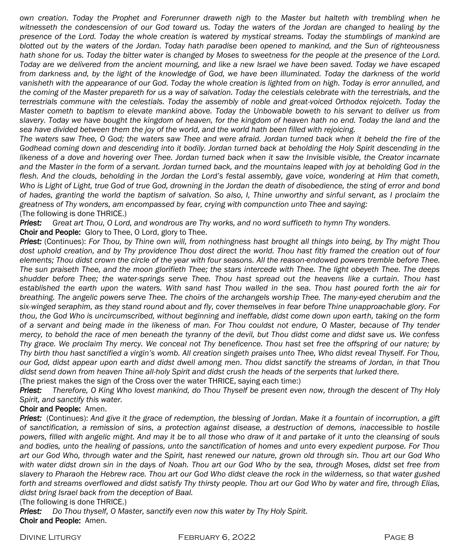*own creation. Today the Prophet and Forerunner draweth nigh to the Master but halteth with trembling when he*  witnesseth the condescension of our God toward us. Today the waters of the Jordan are changed to healing by the *presence of the Lord. Today the whole creation is watered by mystical streams. Today the stumblings of mankind are blotted out by the waters of the Jordan. Today hath paradise been opened to mankind, and the Sun of righteousness hath shone for us. Today the bitter water is changed by Moses to sweetness for the people at the presence of the Lord. Today are we delivered from the ancient mourning, and like a new Israel we have been saved. Today we have escaped from darkness and, by the light of the knowledge of God, we have been illuminated. Today the darkness of the world*  vanisheth with the appearance of our God. Today the whole creation is lighted from on high. Today is error annulled, and the coming of the Master prepareth for us a way of salvation. Today the celestials celebrate with the terrestrials, and the *terrestrials commune with the celestials. Today the assembly of noble and great-voiced Orthodox rejoiceth. Today the Master cometh to baptism to elevate mankind above. Today the Unbowable boweth to his servant to deliver us from slavery. Today we have bought the kingdom of heaven, for the kingdom of heaven hath no end. Today the land and the sea have divided between them the joy of the world, and the world hath been filled with rejoicing.*

*The waters saw Thee, O God; the waters saw Thee and were afraid. Jordan turned back when it beheld the fire of the*  Godhead coming down and descending into it bodily. Jordan turned back at beholding the Holy Spirit descending in the likeness of a dove and hovering over Thee. Jordan turned back when it saw the Invisible visible, the Creator incarnate *and the Master in the form of a servant. Jordan turned back, and the mountains leaped with joy at beholding God in the*  flesh. And the clouds, beholding in the Jordan the Lord's festal assembly, gave voice, wondering at Him that cometh, *Who is Light of Light, true God of true God, drowning in the Jordan the death of disobedience, the sting of error and bond of hades, granting the world the baptism of salvation. So also, I, Thine unworthy and sinful servant, as I proclaim the greatness of Thy wonders, am encompassed by fear, crying with compunction unto Thee and saying:* (The following is done THRICE.)

*Priest: Great art Thou, O Lord, and wondrous are Thy works, and no word sufficeth to hymn Thy wonders.* Choir and People: Glory to Thee, O Lord, glory to Thee.

*Priest:* (Continues): *For Thou, by Thine own will, from nothingness hast brought all things into being, by Thy might Thou dost uphold creation, and by Thy providence Thou dost direct the world. Thou hast fitly framed the creation out of four elements; Thou didst crown the circle of the year with four seasons. All the reason-endowed powers tremble before Thee. The sun praiseth Thee, and the moon glorifieth Thee; the stars intercede with Thee. The light obeyeth Thee. The deeps shudder before Thee; the water-springs serve Thee. Thou hast spread out the heavens like a curtain. Thou hast established the earth upon the waters. With sand hast Thou walled in the sea. Thou hast poured forth the air for breathing. The angelic powers serve Thee. The choirs of the archangels worship Thee. The many-eyed cherubim and the six-winged seraphim, as they stand round about and fly, cover themselves in fear before Thine unapproachable glory. For thou, the God Who is uncircumscribed, without beginning and ineffable, didst come down upon earth, taking on the form of a servant and being made in the likeness of man. For Thou couldst not endure, O Master, because of Thy tender mercy, to behold the race of men beneath the tyranny of the devil, but Thou didst come and didst save us. We confess Thy grace. We proclaim Thy mercy. We conceal not Thy beneficence. Thou hast set free the offspring of our nature; by Thy birth thou hast sanctified a virgin's womb. All creation singeth praises unto Thee, Who didst reveal Thyself. For Thou, our God, didst appear upon earth and didst dwell among men. Thou didst sanctify the streams of Jordan, in that Thou didst send down from heaven Thine all-holy Spirit and didst crush the heads of the serpents that lurked there.*

(The priest makes the sign of the Cross over the water THRICE, saying each time:)

*Priest: Therefore, O King Who lovest mankind, do Thou Thyself be present even now, through the descent of Thy Holy Spirit, and sanctify this water.*

#### Choir and People: Amen.

*Priest:* (Continues): *And give it the grace of redemption, the blessing of Jordan. Make it a fountain of incorruption, a gift of sanctification, a remission of sins, a protection against disease, a destruction of demons, inaccessible to hostile powers, filled with angelic might. And may it be to all those who draw of it and partake of it unto the cleansing of souls and bodies, unto the healing of passions, unto the sanctification of homes and unto every expedient purpose. For Thou art our God Who, through water and the Spirit, hast renewed our nature, grown old through sin. Thou art our God Who with water didst drown sin in the days of Noah. Thou art our God Who by the sea, through Moses, didst set free from*  slavery to Pharaoh the Hebrew race. Thou art our God Who didst cleave the rock in the wilderness, so that water gushed *forth and streams overflowed and didst satisfy Thy thirsty people. Thou art our God Who by water and fire, through Elias, didst bring Israel back from the deception of Baal.*

#### (The following is done THRICE.)

*Priest: Do Thou thyself, O Master, sanctify even now this water by Thy Holy Spirit.* Choir and People: Amen.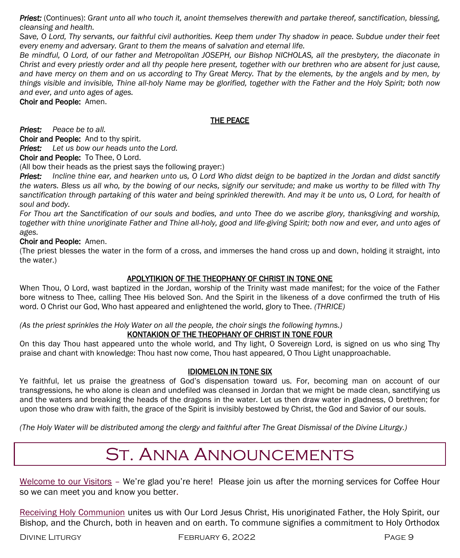*Priest:* (Continues): *Grant unto all who touch it, anoint themselves therewith and partake thereof, sanctification, blessing, cleansing and health.*

Save, O Lord, Thy servants, our faithful civil authorities. Keep them under Thy shadow in peace. Subdue under their feet *every enemy and adversary. Grant to them the means of salvation and eternal life.*

*Be mindful, O Lord, of our father and Metropolitan JOSEPH, our Bishop NICHOLAS, all the presbytery, the diaconate in Christ and every priestly order and all thy people here present, together with our brethren who are absent for just cause, and have mercy on them and on us according to Thy Great Mercy. That by the elements, by the angels and by men, by things visible and invisible, Thine all-holy Name may be glorified, together with the Father and the Holy Spirit; both now and ever, and unto ages of ages.*

Choir and People: Amen.

### THE PEACE

*Priest: Peace be to all.*

Choir and People: And to thy spirit.

*Priest: Let us bow our heads unto the Lord.*

Choir and People: To Thee, O Lord.

(All bow their heads as the priest says the following prayer:)

*Priest: Incline thine ear, and hearken unto us, O Lord Who didst deign to be baptized in the Jordan and didst sanctify the waters. Bless us all who, by the bowing of our necks, signify our servitude; and make us worthy to be filled with Thy*  sanctification through partaking of this water and being sprinkled therewith. And may it be unto us, O Lord, for health of *soul and body.*

For Thou art the Sanctification of our souls and bodies, and unto Thee do we ascribe glory, thanksgiving and worship, *together with thine unoriginate Father and Thine all-holy, good and life-giving Spirit; both now and ever, and unto ages of ages.*

Choir and People: Amen.

(The priest blesses the water in the form of a cross, and immerses the hand cross up and down, holding it straight, into the water.)

#### APOLYTIKION OF THE THEOPHANY OF CHRIST IN TONE ONE

When Thou, O Lord, wast baptized in the Jordan, worship of the Trinity wast made manifest; for the voice of the Father bore witness to Thee, calling Thee His beloved Son. And the Spirit in the likeness of a dove confirmed the truth of His word. O Christ our God, Who hast appeared and enlightened the world, glory to Thee. *(THRICE)*

*(As the priest sprinkles the Holy Water on all the people, the choir sings the following hymns.)*

#### KONTAKION OF THE THEOPHANY OF CHRIST IN TONE FOUR

On this day Thou hast appeared unto the whole world, and Thy light, O Sovereign Lord, is signed on us who sing Thy praise and chant with knowledge: Thou hast now come, Thou hast appeared, O Thou Light unapproachable.

#### IDIOMELON IN TONE SIX

Ye faithful, let us praise the greatness of God's dispensation toward us. For, becoming man on account of our transgressions, he who alone is clean and undefiled was cleansed in Jordan that we might be made clean, sanctifying us and the waters and breaking the heads of the dragons in the water. Let us then draw water in gladness, O brethren; for upon those who draw with faith, the grace of the Spirit is invisibly bestowed by Christ, the God and Savior of our souls.

*(The Holy Water will be distributed among the clergy and faithful after The Great Dismissal of the Divine Liturgy.)*

# St. Anna Announcements

Welcome to our Visitors - We're glad you're here! Please join us after the morning services for Coffee Hour so we can meet you and know you better.

Receiving Holy Communion unites us with Our Lord Jesus Christ, His unoriginated Father, the Holy Spirit, our Bishop, and the Church, both in heaven and on earth. To commune signifies a commitment to Holy Orthodox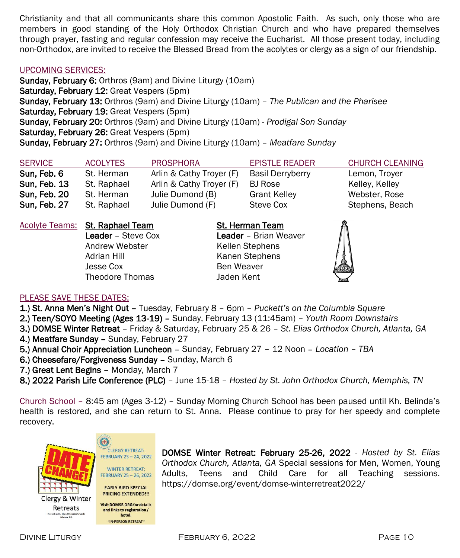Christianity and that all communicants share this common Apostolic Faith. As such, only those who are members in good standing of the Holy Orthodox Christian Church and who have prepared themselves through prayer, fasting and regular confession may receive the Eucharist. All those present today, including non-Orthodox, are invited to receive the Blessed Bread from the acolytes or clergy as a sign of our friendship.

#### UPCOMING SERVICES:

Sunday, February 6: Orthros (9am) and Divine Liturgy (10am) Saturday, February 12: Great Vespers (5pm) Sunday, February 13: Orthros (9am) and Divine Liturgy (10am) – *The Publican and the Pharisee* Saturday, February 19: Great Vespers (5pm) Sunday, February 20: Orthros (9am) and Divine Liturgy (10am) - *Prodigal Son Sunday* Saturday, February 26: Great Vespers (5pm) Sunday, February 27: Orthros (9am) and Divine Liturgy (10am) – *Meatfare Sunday*

| <b>SERVICE</b> | <b>ACOLYTES</b> | <b>PROSPHORA</b>         | <b>EPISTLE READER</b>   | <b>CHURCH CLEANING</b> |
|----------------|-----------------|--------------------------|-------------------------|------------------------|
| Sun, Feb, 6    | St. Herman      | Arlin & Cathy Trover (F) | <b>Basil Derryberry</b> | Lemon, Troyer          |
| Sun, Feb. 13   | St. Raphael     | Arlin & Cathy Trover (F) | BJ Rose                 | Kelley, Kelley         |
| Sun, Feb. 20   | St. Herman      | Julie Dumond (B)         | <b>Grant Kelley</b>     | Webster, Rose          |
| Sun, Feb. 27   | St. Raphael     | Julie Dumond (F)         | Steve Cox               | Stephens, Beach        |

Acolyte Teams: St. Raphael Team St. Herman Team

Andrew Webster Kellen Stephens Adrian Hill Kanen Stephens Jesse Cox Ben Weaver Theodore Thomas Jaden Kent

Leader – Steve Cox Leader – Brian Weaver



#### PLEASE SAVE THESE DATES:

1.) St. Anna Men's Night Out – Tuesday, February 8 – 6pm – *Puckett's on the Columbia Square*

- 2.) Teen/SOYO Meeting (Ages 13-19) Sunday, February 13 (11:45am) *Youth Room Downstairs*
- 3.) DOMSE Winter Retreat Friday & Saturday, February 25 & 26 *St. Elias Orthodox Church, Atlanta, GA* 4.) Meatfare Sunday - Sunday, February 27
- 5.) Annual Choir Appreciation Luncheon Sunday, February 27 12 Noon *Location – TBA*
- 6.) Cheesefare/Forgiveness Sunday Sunday, March 6

7.) Great Lent Begins – Monday, March 7

8.) 2022 Parish Life Conference (PLC) – June 15-18 – *Hosted by St. John Orthodox Church, Memphis, TN*

Church School – 8:45 am (Ages 3-12) – Sunday Morning Church School has been paused until Kh. Belinda's health is restored, and she can return to St. Anna. Please continue to pray for her speedy and complete recovery.



Clergy & Winter Retreats ted at St. Elias Orthodox Church



**Visit DOMSE.ORG for details** 

and links to registration/

hotel. "IN-PERSON RETREAT"

DOMSE Winter Retreat: February 25-26, 2022 - *Hosted by St. Elias Orthodox Church, Atlanta, GA* Special sessions for Men, Women, Young Adults, Teens and Child Care for all Teaching sessions. https://domse.org/event/domse-winterretreat2022/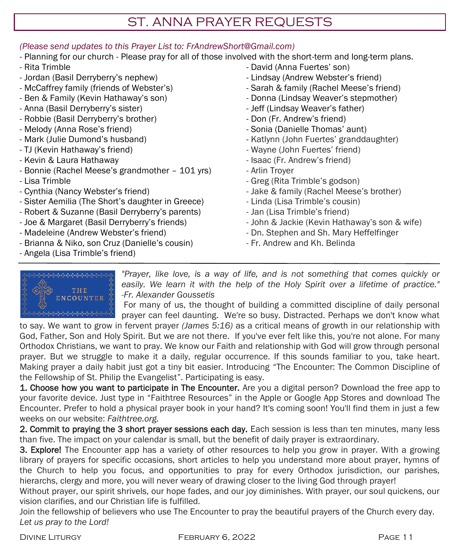## ST. ANNA PRAYER REQUESTS

## *(Please send updates to this Prayer List to: FrAndrewShort@Gmail.com)*

- Planning for our church Please pray for all of those involved with the short-term and long-term plans.
- Rita Trimble
- Jordan (Basil Derryberry's nephew)
- McCaffrey family (friends of Webster's)
- Ben & Family (Kevin Hathaway's son)
- Anna (Basil Derryberry's sister)
- Robbie (Basil Derryberry's brother)
- Melody (Anna Rose's friend)
- Mark (Julie Dumond's husband)
- TJ (Kevin Hathaway's friend)
- Kevin & Laura Hathaway
- Bonnie (Rachel Meese's grandmother 101 yrs)
- Lisa Trimble
- Cynthia (Nancy Webster's friend)
- Sister Aemilia (The Short's daughter in Greece)
- Robert & Suzanne (Basil Derryberry's parents)
- Joe & Margaret (Basil Derryberry's friends)
- Madeleine (Andrew Webster's friend)
- Brianna & Niko, son Cruz (Danielle's cousin)
- Angela (Lisa Trimble's friend)
- David (Anna Fuertes' son)
- Lindsay (Andrew Webster's friend)
- Sarah & family (Rachel Meese's friend)
- Donna (Lindsay Weaver's stepmother)
- Jeff (Lindsay Weaver's father)
- Don (Fr. Andrew's friend)
- Sonia (Danielle Thomas' aunt)
- Katlynn (John Fuertes' granddaughter)
- Wayne (John Fuertes' friend)
- Isaac (Fr. Andrew's friend)
- Arlin Troyer
- Greg (Rita Trimble's godson)
- Jake & family (Rachel Meese's brother)
- Linda (Lisa Trimble's cousin)
- Jan (Lisa Trimble's friend)
- John & Jackie (Kevin Hathaway's son & wife)
- Dn. Stephen and Sh. Mary Heffelfinger
- Fr. Andrew and Kh. Belinda



*"Prayer, like love, is a way of life, and is not something that comes quickly or easily. We learn it with the help of the Holy Spirit over a lifetime of practice." -Fr. Alexander Goussetis*

For many of us, the thought of building a committed discipline of daily personal prayer can feel daunting. We're so busy. Distracted. Perhaps we don't know what

to say. We want to grow in fervent prayer *(James 5:16)* as a critical means of growth in our relationship with God, Father, Son and Holy Spirit. But we are not there. If you've ever felt like this, you're not alone. For many Orthodox Christians, we want to pray. We know our Faith and relationship with God will grow through personal prayer. But we struggle to make it a daily, regular occurrence. If this sounds familiar to you, take heart. Making prayer a daily habit just got a tiny bit easier. Introducing "The Encounter: The Common Discipline of the Fellowship of St. Philip the Evangelist". Participating is easy.

1. Choose how you want to participate in The Encounter. Are you a digital person? Download the free app to your favorite device. Just type in "Faithtree Resources" in the Apple or Google App Stores and download The Encounter. Prefer to hold a physical prayer book in your hand? It's coming soon! You'll find them in just a few weeks on our website: *Faithtree.org.* 

2. Commit to praying the 3 short prayer sessions each day. Each session is less than ten minutes, many less than five. The impact on your calendar is small, but the benefit of daily prayer is extraordinary.

3. Explore! The Encounter app has a variety of other resources to help you grow in prayer. With a growing library of prayers for specific occasions, short articles to help you understand more about prayer, hymns of the Church to help you focus, and opportunities to pray for every Orthodox jurisdiction, our parishes, hierarchs, clergy and more, you will never weary of drawing closer to the living God through prayer!

Without prayer, our spirit shrivels, our hope fades, and our joy diminishes. With prayer, our soul quickens, our vision clarifies, and our Christian life is fulfilled.

Join the fellowship of believers who use The Encounter to pray the beautiful prayers of the Church every day. *Let us pray to the Lord!*